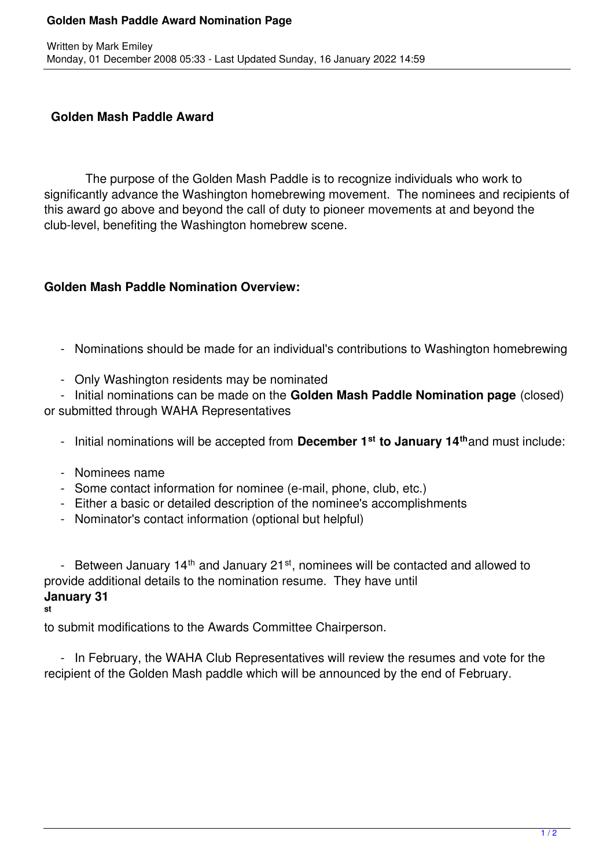## **Golden Mash Paddle Award Nomination Page**

## **Golden Mash Paddle Award**

 The purpose of the Golden Mash Paddle is to recognize individuals who work to significantly advance the Washington homebrewing movement. The nominees and recipients of this award go above and beyond the call of duty to pioneer movements at and beyond the club-level, benefiting the Washington homebrew scene.

## **Golden Mash Paddle Nomination Overview:**

- Nominations should be made for an individual's contributions to Washington homebrewing
- Only Washington residents may be nominated

 - Initial nominations can be made on the **Golden Mash Paddle Nomination page** (closed) or submitted through WAHA Representatives

- Initial nominations will be accepted from **December 1st to January 14th**and must include:
- Nominees name
- Some contact information for nominee (e-mail, phone, club, etc.)
- Either a basic or detailed description of the nominee's accomplishments
- Nominator's contact information (optional but helpful)

- Between January  $14<sup>th</sup>$  and January  $21<sup>st</sup>$ , nominees will be contacted and allowed to provide additional details to the nomination resume. They have until **January 31**

**st**

to submit modifications to the Awards Committee Chairperson.

 - In February, the WAHA Club Representatives will review the resumes and vote for the recipient of the Golden Mash paddle which will be announced by the end of February.